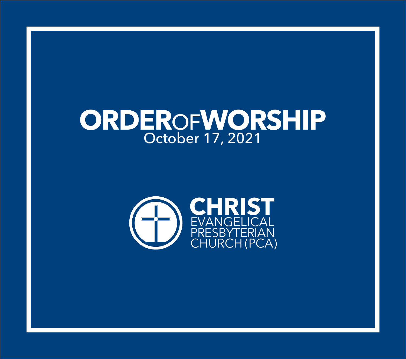# **ORDER**OF**WORSHIP** October 17, 2021

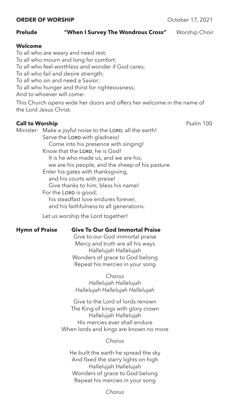# Prelude **"When I Survey The Wondrous Cross"** Worship Choir

# **Welcome**

To all who are weary and need rest; To all who mourn and long for comfort; To all who feel worthless and wonder if God cares; To all who fail and desire strength; To all who sin and need a Savior; To all who hunger and thirst for righteousness; And to whoever will come– This Church opens wide her doors and offers her welcome in the name of the Lord Jesus Christ.

# **Call to Worship** Psalm 100

Minister: Make a joyful noise to the LORD, all the earth! Serve the LORD with gladness! Come into his presence with singing! Know that the LORD, he is God! It is he who made us, and we are his; we are his people, and the sheep of his pasture. Enter his gates with thanksgiving, and his courts with praise! Give thanks to him; bless his name! For the LORD is good; his steadfast love endures forever, and his faithfulness to all generations.

Let us worship the Lord together!

# **Hymn of Praise Give To Our God Immortal Praise**

Give to our God immortal praise Mercy and truth are all his ways Hallelujah Hallelujah Wonders of grace to God belong Repeat his mercies in your song

*Chorus Hallelujah Hallelujah Hallelujah Hallelujah Hallelujah*

Give to the Lord of lords renown The King of kings with glory crown Hallelujah Hallelujah His mercies ever shall endure When lords and kings are known no more

# *Chorus*

He built the earth he spread the sky And fixed the starry lights on high Hallelujah Hallelujah Wonders of grace to God belong Repeat his mercies in your song

*Chorus*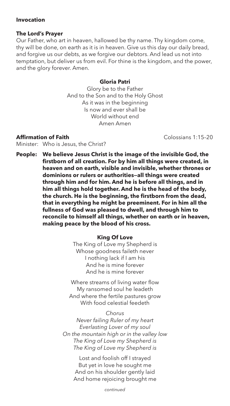# **Invocation**

# **The Lord's Prayer**

Our Father, who art in heaven, hallowed be thy name. Thy kingdom come, thy will be done, on earth as it is in heaven. Give us this day our daily bread, and forgive us our debts, as we forgive our debtors. And lead us not into temptation, but deliver us from evil. For thine is the kingdom, and the power, and the glory forever. Amen.

# **Gloria Patri**

Glory be to the Father And to the Son and to the Holy Ghost As it was in the beginning Is now and ever shall be World without end Amen Amen

# **Affirmation of Faith** Colossians 1:15–20

Minister: Who is Jesus, the Christ?

**People: We believe Jesus Christ is the image of the invisible God, the firstborn of all creation. For by him all things were created, in heaven and on earth, visible and invisible, whether thrones or dominions or rulers or authorities—all things were created through him and for him. And he is before all things, and in him all things hold together. And he is the head of the body, the church. He is the beginning, the firstborn from the dead, that in everything he might be preeminent. For in him all the fullness of God was pleased to dwell, and through him to reconcile to himself all things, whether on earth or in heaven, making peace by the blood of his cross.**

## **King Of Love**

The King of Love my Shepherd is Whose goodness faileth never I nothing lack if I am his And he is mine forever And he is mine forever

Where streams of living water flow My ransomed soul he leadeth And where the fertile pastures grow With food celestial feedeth

#### *Chorus*

*Never failing Ruler of my heart Everlasting Lover of my soul On the mountain high or in the valley low The King of Love my Shepherd is The King of Love my Shepherd is*

> Lost and foolish off I strayed But yet in love he sought me And on his shoulder gently laid And home rejoicing brought me

> > *continued*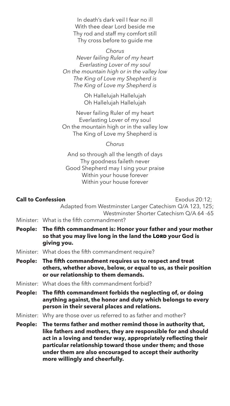In death's dark veil I fear no ill With thee dear Lord beside me Thy rod and staff my comfort still Thy cross before to guide me

## *Chorus*

*Never failing Ruler of my heart Everlasting Lover of my soul On the mountain high or in the valley low The King of Love my Shepherd is The King of Love my Shepherd is*

> Oh Hallelujah Hallelujah Oh Hallelujah Hallelujah

Never failing Ruler of my heart Everlasting Lover of my soul On the mountain high or in the valley low The King of Love my Shepherd is

*Chorus*

And so through all the length of days Thy goodness faileth never Good Shepherd may I sing your praise Within your house forever Within your house forever

| <b>Call to Confession</b><br>Exodus 20:12; |                                                                                                                                                                                                                                                                                                                                                            |
|--------------------------------------------|------------------------------------------------------------------------------------------------------------------------------------------------------------------------------------------------------------------------------------------------------------------------------------------------------------------------------------------------------------|
|                                            | Adapted from Westminster Larger Catechism Q/A 123, 125;<br>Westminster Shorter Catechism Q/A 64 -65                                                                                                                                                                                                                                                        |
|                                            | Minister: What is the fifth commandment?                                                                                                                                                                                                                                                                                                                   |
| People:                                    | The fifth commandment is: Honor your father and your mother<br>so that you may live long in the land the LORD your God is<br>giving you.                                                                                                                                                                                                                   |
|                                            | Minister: What does the fifth commandment require?                                                                                                                                                                                                                                                                                                         |
| People:                                    | The fifth commandment requires us to respect and treat<br>others, whether above, below, or equal to us, as their position<br>or our relationship to them demands.                                                                                                                                                                                          |
|                                            | Minister: What does the fifth commandment forbid?                                                                                                                                                                                                                                                                                                          |
| People:                                    | The fifth commandment forbids the neglecting of, or doing<br>anything against, the honor and duty which belongs to every<br>person in their several places and relations.                                                                                                                                                                                  |
|                                            | Minister: Why are those over us referred to as father and mother?                                                                                                                                                                                                                                                                                          |
| People:                                    | The terms father and mother remind those in authority that,<br>like fathers and mothers, they are responsible for and should<br>act in a loving and tender way, appropriately reflecting their<br>particular relationship toward those under them; and those<br>under them are also encouraged to accept their authority<br>more willingly and cheerfully. |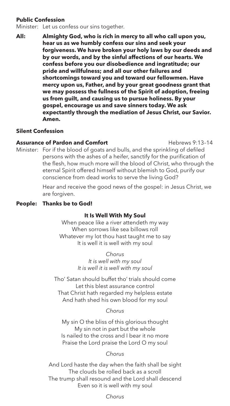# **Public Confession**

Minister: Let us confess our sins together.

**All: Almighty God, who is rich in mercy to all who call upon you, hear us as we humbly confess our sins and seek your forgiveness. We have broken your holy laws by our deeds and by our words, and by the sinful affections of our hearts. We confess before you our disobedience and ingratitude; our pride and willfulness; and all our other failures and shortcomings toward you and toward our fellowmen. Have mercy upon us, Father, and by your great goodness grant that we may possess the fullness of the Spirit of adoption, freeing us from guilt, and causing us to pursue holiness. By your gospel, encourage us and save sinners today. We ask expectantly through the mediation of Jesus Christ, our Savior. Amen.**

# **Silent Confession**

**Assurance of Pardon and Comfort Hebrews 9:13-14** Minister: For if the blood of goats and bulls, and the sprinkling of defiled persons with the ashes of a heifer, sanctify for the purification of the flesh, how much more will the blood of Christ, who through the eternal Spirit offered himself without blemish to God, purify our conscience from dead works to serve the living God?

> Hear and receive the good news of the gospel: in Jesus Christ, we are forgiven.

# **People: Thanks be to God!**

## **It Is Well With My Soul**

When peace like a river attendeth my way When sorrows like sea billows roll Whatever my lot thou hast taught me to say It is well it is well with my soul

> *Chorus It is well with my soul It is well it is well with my soul*

Tho' Satan should buffet tho' trials should come Let this blest assurance control That Christ hath regarded my helpless estate And hath shed his own blood for my soul

## *Chorus*

My sin O the bliss of this glorious thought My sin not in part but the whole Is nailed to the cross and I bear it no more Praise the Lord praise the Lord O my soul

## *Chorus*

And Lord haste the day when the faith shall be sight The clouds be rolled back as a scroll The trump shall resound and the Lord shall descend Even so it is well with my soul

*Chorus*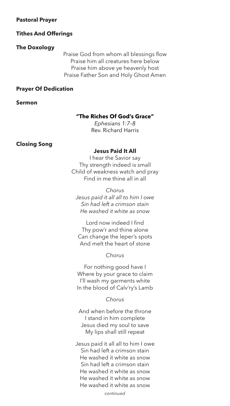#### **Pastoral Prayer**

#### **Tithes And Offerings**

#### **The Doxology**

Praise God from whom all blessings flow Praise him all creatures here below Praise him above ye heavenly host Praise Father Son and Holy Ghost Amen

# **Prayer Of Dedication**

**Sermon** 

# **"The Riches Of God's Grace"**

*Ephesians 1:7–8* Rev. Richard Harris

## **Closing Song**

# **Jesus Paid It All**

I hear the Savior say Thy strength indeed is small Child of weakness watch and pray Find in me thine all in all

*Chorus Jesus paid it all all to him I owe Sin had left a crimson stain He washed it white as snow*

Lord now indeed I find Thy pow'r and thine alone Can change the leper's spots And melt the heart of stone

# *Chorus*

For nothing good have I Where by your grace to claim I'll wash my garments white In the blood of Calv'ry's Lamb

*Chorus*

And when before the throne I stand in him complete Jesus died my soul to save My lips shall still repeat

Jesus paid it all all to him I owe Sin had left a crimson stain He washed it white as snow Sin had left a crimson stain He washed it white as snow He washed it white as snow He washed it white as snow

*continued*